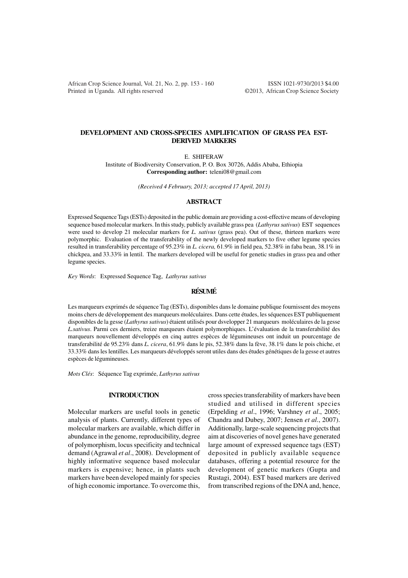African Crop Science Journal, Vol. 21, No. 2, pp. 153 - 160 ISSN 1021-9730/2013 \$4.00 Printed in Uganda. All rights reserved ©2013, African Crop Science Society

# **DEVELOPMENT AND CROSS-SPECIES AMPLIFICATION OF GRASS PEA EST-DERIVED MARKERS**

E. SHIFERAW

Institute of Biodiversity Conservation, P. O. Box 30726, Addis Ababa, Ethiopia **Corresponding author:** teleni08@gmail.com

*(Received 4 February, 2013; accepted 17 April, 2013)*

#### **ABSTRACT**

Expressed Sequence Tags (ESTs) deposited in the public domain are providing a cost-effective means of developing sequence based molecular markers. In this study, publicly available grass pea (*Lathyrus sativus*) EST sequences were used to develop 21 molecular markers for *L. sativus* (grass pea). Out of these, thirteen markers were polymorphic. Evaluation of the transferability of the newly developed markers to five other legume species resulted in transferability percentage of 95.23% in *L. cicera,* 61.9% in field pea, 52.38% in faba bean, 38.1% in chickpea, and 33.33% in lentil. The markers developed will be useful for genetic studies in grass pea and other legume species.

*Key Words*: Expressed Sequence Tag, *Lathyrus sativus*

# **RÉSUMÉ**

Les marqueurs exprimés de séquence Tag (ESTs), disponibles dans le domaine publique fournissent des moyens moins chers de développement des marqueurs moléculaires. Dans cette études, les séquences EST publiquement disponibles de la gesse (*Lathyrus sativus*) étaient utilisés pour dsvelopper 21 marqueurs moléculaires de la gesse *L.sativus*. Parmi ces derniers, treize marqueurs étaient polymorphiques. L'évaluation de la transferabilité des marqueurs nouvellement développés en cinq autres espèces de légumineuses ont induit un pourcentage de transferabilité de 95.23% dans *L. cicera*, 61.9% dans le pis, 52.38% dans la fève, 38.1% dans le pois chiche, et 33.33% dans les lentilles. Les marqueurs développés seront utiles dans des études génétiques de la gesse et autres espèces de légumineuses.

*Mots Clés*: Séquence Tag exprimée, *Lathyrus sativus*

## **INTRODUCTION**

Molecular markers are useful tools in genetic analysis of plants. Currently, different types of molecular markers are available, which differ in abundance in the genome, reproducibility, degree of polymorphism, locus specificity and technical demand (Agrawal *et al*., 2008). Development of highly informative sequence based molecular markers is expensive; hence, in plants such markers have been developed mainly for species of high economic importance. To overcome this,

cross species transferability of markers have been studied and utilised in different species (Erpelding *et al*., 1996; Varshney *et al*., 2005; Chandra and Dubey, 2007; Jensen *et al*., 2007). Additionally, large-scale sequencing projects that aim at discoveries of novel genes have generated large amount of expressed sequence tags (EST) deposited in publicly available sequence databases, offering a potential resource for the development of genetic markers (Gupta and Rustagi, 2004). EST based markers are derived from transcribed regions of the DNA and, hence,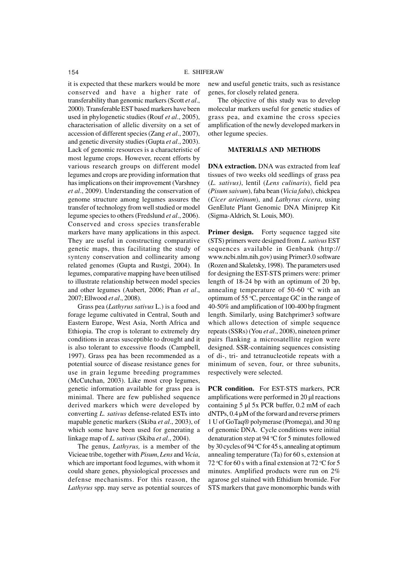it is expected that these markers would be more conserved and have a higher rate of transferability than genomic markers (Scott *et al*., 2000). Transferable EST based markers have been used in phylogenetic studies (Rouf *et al*., 2005), characterisation of allelic diversity on a set of accession of different species (Zang *et al*., 2007), and genetic diversity studies (Gupta *et al*., 2003). Lack of genomic resources is a characteristic of most legume crops. However, recent efforts by various research groups on different model legumes and crops are providing information that has implications on their improvement (Varshney *et al*., 2009). Understanding the conservation of genome structure among legumes assures the transfer of technology from well studied or model legume species to others (Fredslund *et al*., 2006). Conserved and cross species transferable markers have many applications in this aspect. They are useful in constructing comparative genetic maps, thus facilitating the study of synteny conservation and collinearity among related genomes (Gupta and Rustgi, 2004). In legumes, comparative mapping have been utilised to illustrate relationship between model species and other legumes (Aubert, 2006; Phan *et al*., 2007; Ellwood *et al*., 2008).

Grass pea (*Lathyrus sativus* L.) is a food and forage legume cultivated in Central, South and Eastern Europe, West Asia, North Africa and Ethiopia. The crop is tolerant to extremely dry conditions in areas susceptible to drought and it is also tolerant to excessive floods (Campbell, 1997). Grass pea has been recommended as a potential source of disease resistance genes for use in grain legume breeding programmes (McCutchan, 2003). Like most crop legumes, genetic information available for grass pea is minimal. There are few published sequence derived markers which were developed by converting *L. sativus* defense-related ESTs into mapable genetic markers (Skiba *et al*., 2003), of which some have been used for generating a linkage map of *L. sativus* (Skiba *et al*., 2004).

The genus, *Lathyrus,* is a member of the Vicieae tribe, together with *Pisum*, *Lens* and *Vicia*, which are important food legumes, with whom it could share genes, physiological processes and defense mechanisms. For this reason, the *Lathyrus* spp. may serve as potential sources of new and useful genetic traits, such as resistance genes, for closely related genera.

The objective of this study was to develop molecular markers useful for genetic studies of grass pea, and examine the cross species amplification of the newly developed markers in other legume species.

## **MATERIALS AND METHODS**

**DNA extraction.** DNA was extracted from leaf tissues of two weeks old seedlings of grass pea (*L. sativus)*, lentil (*Lens culinaris*), field pea (*Pisum saivum*), faba bean (*Vicia faba*), chickpea (*Cicer arietinum*), and *Lathyrus cicera*, using GenElute Plant Genomic DNA Miniprep Kit (Sigma*-*Aldrich*,* St*.* Louis*,* MO).

**Primer design.** Forty sequence tagged site (STS) primers were designed from *L. sativus* EST sequences available in Genbank (http:// www.ncbi.nlm.nih.gov) using Primer3.0 software (Rozen and Skaletsky, 1998). The parameters used for designing the EST-STS primers were: primer length of 18-24 bp with an optimum of 20 bp, annealing temperature of 50-60  $\degree$ C with an optimum of 55  $\degree$ C, percentage GC in the range of 40-50% and amplification of 100-400 bp fragment length. Similarly, using Batchprimer3 software which allows detection of simple sequence repeats (SSRs) (You *et al*., 2008), nineteen primer pairs flanking a microsatellite region were designed. SSR-containing sequences consisting of di-, tri- and tetranucleotide repeats with a minimum of seven, four, or three subunits, respectively were selected.

**PCR condition.** For EST-STS markers, PCR amplifications were performed in 20 µl reactions containing 5 µl 5x PCR buffer, 0.2 mM of each dNTPs, 0.4 µM of the forward and reverse primers 1 U of GoTaq® polymerase (Promega), and 30 ng of genomic DNA. Cycle conditions were initial denaturation step at 94  $\degree$ C for 5 minutes followed by 30 cycles of 94  $\degree$ C for 45 s, annealing at optimum annealing temperature (Ta) for 60 s, extension at 72 °C for 60 s with a final extension at 72 °C for 5 minutes. Amplified products were run on 2% agarose gel stained with Ethidium bromide. For STS markers that gave monomorphic bands with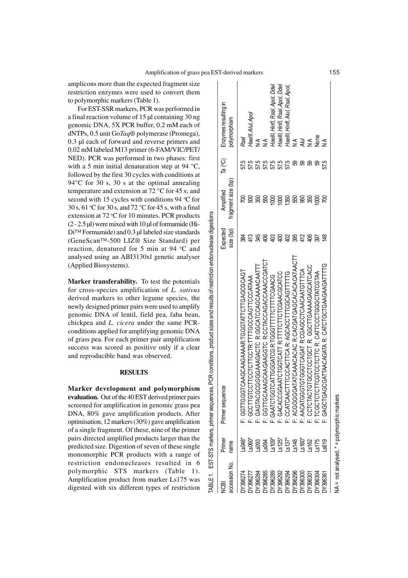TABLE 1. EST-STS markers, primer sequences, PCR conditions, product sizes and results of restriction endonuclease digestions

**TABLE1.** 

EST-STS markers, primer sequences, PCR conditions, product sizes and results of restriction endonuclease digestions

amplicons more than the expected fragment size restriction enzymes were used to convert them to polymorphic markers (Table 1).

For EST-SSR markers, PCR was performed in a final reaction volume of 15 µl containing 30 ng genomic DNA, 5X PCR buffer, 0.2 mM each of dNTPs, 0.5 unit Go*Taq®* polymerase (Promega), 0.3 µl each of forward and reverse primers and 0.02 mM labeled M13 primer (6-FAM/VIC/PET/ NED). PCR was performed in two phases: first with a 5 min initial denaturation step at 94 °C, followed by the first 30 cycles with conditions at 94 °C for 30 s, 30 s at the optimal annealing temperature and extension at 72 °C for 45 s; and second with 15 cycles with conditions 94  $°C$  for 30 s, 61 °C for 30 s, and 72 °C for 45 s, with a final extension at  $72 \text{ °C}$  for 10 minutes. PCR products  $(2 - 2.5 \mu l)$  were mixed with 10  $\mu$ l of formamide (Hi-Di<sup>™</sup> Formamide) and 0.3 µl labeled size standards (GeneScan™-500 LIZ® Size Standard) per reaction, denatured for 5 min at 94 °C and analysed using an ABI3130xl genetic analyser (Applied Biosystems).

**Marker transferability.** To test the potentials for cross-species amplification of *L. sativus* derived markers to other legume species, the newly designed primer pairs were used to amplify genomic DNA of lentil, field pea, faba bean, chickpea and *L. cicera* under the same PCRconditions applied for amplifying genomic DNA of grass pea. For each primer pair amplification success was scored as positive only if a clear and reproducible band was observed.

## **RESULTS**

**Marker development and polymorphism evaluation.** Out of the 40 EST derived primer pairs screened for amplification in genomic grass pea DNA, 80% gave amplification products. After optimisation, 12 markers (30%) gave amplification of a single fragment. Of these, nine of the primer pairs directed amplified products larger than the predicted size. Digestion of seven of these single monomorphic PCR products with a range of restriction endonucleases resulted in 6 polymorphic STS markers (Table 1). Amplification product from marker Ls175 was digested with six different types of restriction

| cession No.<br>සි                        | Primer<br>name | rimer sequence                                                                                 | $size$ (bp)<br>Expected | fragment size (bp)<br>Amplified | a(°C)<br>E   | Enzymes resulting in<br>polymorphism |
|------------------------------------------|----------------|------------------------------------------------------------------------------------------------|-------------------------|---------------------------------|--------------|--------------------------------------|
| Y396274                                  | $-5048$        | CAAGCAAGAAAAR:TGGGTTGAGCGCGCAGT<br>GGTTGGG                                                     |                         |                                 | 57.5         | Rsal                                 |
| Y39627                                   | $$060^*$       | CTTCCTCCTR:TTTGCCAGTTCCCATAAA<br>: GCTTGTC                                                     | 413                     |                                 |              | Haelll, Alul, Apol                   |
| Y396284                                  | \$093          |                                                                                                | Ж                       | ඝූ                              | 57.5         | $\frac{1}{2}$                        |
| Y396285                                  |                | : GAGTACGCGGGAAAGACTC R:GGCATCCAGCAAAACAATTT<br>: GGTTGCAAAGCAAGAAGGTC R:CCTACCAGACCAAACCGATCT | දී                      | ශි                              |              |                                      |
| Y396289                                  |                | CATTCGHTTCTTTCGR:TGGGKGGGGATCGATCG<br>GAATCTGGT                                                | ≌                       |                                 | 57.5<br>57.5 | Haelll, Hinfl, Rsal, Apol, Ddel      |
| N736292<br>N736294<br>N736296<br>N736300 |                | : GACACCGGAATCTGGTCATT R:TTTTCTTCTCGAACGCATCC                                                  | ਭੈ                      | ខ្ល                             | 57.5         | Haelll, Hinfl, Rsal, Apol, Ddel      |
|                                          |                | : CCATCAACTTTCCCACTTCA R: AGCACCTTTCGCAGTTTTTG                                                 | 42                      | 1350                            | 57.5         | Haelll, Hinfl, Alul, Rsal, Apol,     |
|                                          |                | ATCAAACACACGOCACGATGACACACACACT<br>2000000                                                     | ఞ్ల                     | ශි                              | 8            | ≰                                    |
|                                          |                | : AACATGGGTGTGTGGTGAGAT R:CGAGGTGTGTGAGATGTTTCA                                                | 412                     | ඹූ                              | 8            | Alul                                 |
| Y396301                                  |                | 304040949444911399 ik L39130130915<br>CCTCTACT                                                 | $\frac{8}{3}$           | ඝ                               | ജ            | $\frac{4}{5}$                        |
| N396304                                  | $\frac{2}{15}$ | ASTOGECOGOLOODLEGO E OLLOLOOLOOLL<br>: TCGCTCTCT                                               | ख्रि                    |                                 | ജ            | None                                 |
| Y396361                                  | \$619          | : GAGCTGAGCGATTAACATA R: CATCTGCTGAAGAAGATTTTG                                                 |                         |                                 | 57.5         | $\leq$                               |
|                                          |                |                                                                                                |                         |                                 |              |                                      |

not analysed, \* = polymorphic markers NA = not analysed, \* = polymorphic markers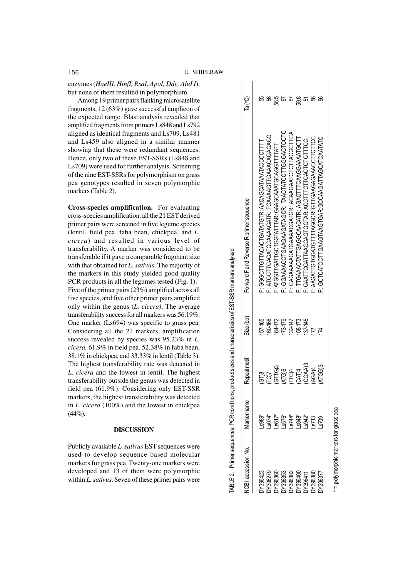enzymes (*HaeIII, HinfI, RsaI, ApoI, Dde, AluI I*), but none of them resulted in polymorphism.

Among 19 primer pairs flanking microsatellite fragments, 12 (63%) gave successful amplicon of the expected range. Blast analysis revealed that amplified fragments from primers Ls848 and Ls792 aligned as identical fragments and Ls709, Ls481 and Ls459 also aligned in a similar manner showing that these were redundant sequences. Hence, only two of these EST-SSRs (Ls848 and Ls709) were used for further analysis. Screening of the nine EST-SSRs for polymorphism on grass pea genotypes resulted in seven polymorphic markers (Table 2).

**Cross-species amplification.** For evaluating cross-species amplification, all the 21 EST derived primer pairs were screened in five legume species (lentil, field pea, faba bean, chickpea, and *L. cicera*) and resulted in various level of transferability. A marker was considered to be transferable if it gave a comparable fragment size with that obtained for *L. sativus*. The majority of the markers in this study yielded good quality PCR products in all the legumes tested (Fig. 1). Five of the primer pairs (23%) amplified across all five species, and five other primer pairs amplified only within the genus (*L. cicera)*. The average transferability success for all markers was 56.19%. One marker (Ls694) was specific to grass pea. Considering all the 21 markers, amplification success revealed by species was 95.23% in *L. cicera,* 61.9% in field pea, 52.38% in faba bean, 38.1% in chickpea, and 33.33% in lentil (Table 3). The highest transferability rate was detected in *L. cicera* and the lowest in lentil. The highest transferability outside the genus was detected in field pea (61.9%). Considering only EST-SSR markers, the highest transferability was detected in *L. cicera* (100%) and the lowest in chickpea (44%).

## **DISCUSSION**

Publicly available *L. sativus* EST sequences were used to develop sequence based molecular markers for grass pea. Twenty-one markers were developed and 13 of them were polymorphic within *L. sativus*. Seven of these primer pairs were

| CBI accession No.                                                       | Vlarker name                                                      | Repeat motif | Size (bp)   | Forward F and Reverse R primer sequence          | Ta (°C) |
|-------------------------------------------------------------------------|-------------------------------------------------------------------|--------------|-------------|--------------------------------------------------|---------|
|                                                                         |                                                                   |              | 157-165     | F: GGGCTTGTTACACTGATATGTR: AACAGCATAAATACCCCTTTT |         |
|                                                                         |                                                                   | es<br>Se     | 160-168     | F: ATGCTTCAGATGCAAAGATR: TCAAAGTTGAAACAGAGAGG    |         |
|                                                                         |                                                                   | $(GTTG)$ 3   | 164-172     | F: ATGGTTGATTGCTGGTATTTAR: GAAGCAATGCAGGTTTTATT  | 585     |
|                                                                         |                                                                   | <b>ATG)5</b> | 173-179     | F: GGAAAACCIGAAGGATAGCR: TAACTATCCTTGGGACTCCTC   |         |
|                                                                         |                                                                   | <b>POH</b>   | 132-147     | F: CAGAAAAGATGAAACGATGR: ACAAGAATCTCTTACGCTTCA   |         |
|                                                                         |                                                                   | <b>CATA</b>  | 158-173     | F: TTGAAACTATTGAGGCAACATR: AGACTTTCAAGGAAAATGCTT | 598     |
|                                                                         |                                                                   | CCAA)3       | $137 - 145$ |                                                  |         |
| N7396423<br>N73963627<br>N739636353<br>N7396400<br>N7396317<br>N7396377 | 995 - 506<br>995 - 5066 - 5066<br>996 - 5066 - 5066<br>996 - 5066 | AGA)4        |             |                                                  | ଞ       |
|                                                                         |                                                                   | ATGG)3       |             | F: GCTCATCCTTGAAGTGAR:GCAAGTGAAGATTAGCATCAATC    |         |

\* = polymorphic markers for grass pea

polymorphic markers for grass pea

ABLE 2. Primer sequences, PCR conditions, product sizes and characteristics of EST-SSR markers analysed TABLE 2. Primer sequences, PCR conditions, product sizes and characteristics of EST-SSR markers analysed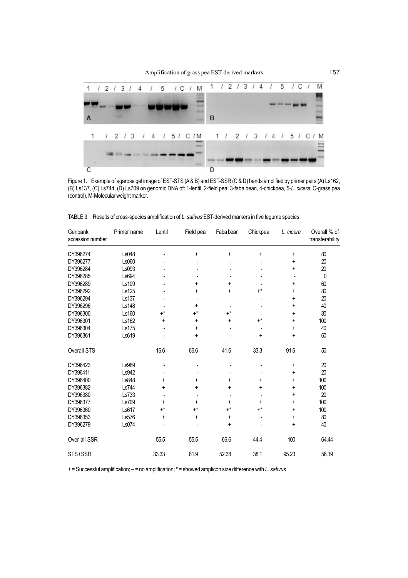

Figure 1. Example of agarose gel image of EST-STS (A & B) and EST-SSR (C & D) bands amplified by primer pairs (A) Ls162, (B) Ls137, (C) Ls744, (D) Ls709 on genomic DNA of: 1-lentil, 2-field pea, 3-faba bean, 4-chickpea, 5-*L. cicera*, C-grass pea (control), M-Molecular weight marker.

| Genbank<br>accession number | Primer name  | Lentil | Field pea   | Faba bean | Chickpea             | L. cicera | Overall % of<br>transferability |
|-----------------------------|--------------|--------|-------------|-----------|----------------------|-----------|---------------------------------|
| DY396274                    | Ls048        |        | +           | $\ddot{}$ | +                    | +         | 80                              |
| DY396277                    | Ls060        |        |             |           |                      | +         | 20                              |
| DY396284                    | Ls093        |        |             |           |                      | +         | $20\,$                          |
| DY396285                    | Ls694        |        |             |           |                      |           | 0                               |
| DY396289                    | Ls109        |        | +           | +         |                      | +         | 60                              |
| DY396292                    | Ls125        |        | +           | +         | $+^*$                | +         | 80                              |
| DY396294                    | Ls137        |        |             |           |                      | +         | 20                              |
| DY396296                    | <b>Ls148</b> |        | +           |           |                      | +         | 40                              |
| DY396300                    | Ls160        | $+^*$  | $+^*$       | $+^*$     |                      | +         | 80                              |
| DY396301                    | Ls162        | +      | +           | +         | $\texttt{+}^{\star}$ | +         | 100                             |
| DY396304                    | Ls175        |        | +           |           |                      | +         | 40                              |
| DY396361                    | Ls619        |        | +           |           | +                    | +         | 60                              |
| Overall STS                 |              | 16.6   | 66.6        | 41.6      | 33.3                 | 91.6      | 50                              |
| DY396423                    | Ls989        |        |             |           |                      | +         | 20                              |
| DY396411                    | Ls942        |        |             |           |                      | +         | 20                              |
| DY396400                    | Ls848        | +      | +           | +         | +                    | +         | 100                             |
| DY396382                    | Ls744        | +      | +           | +         | $\ddot{}$            | +         | 100                             |
| DY396380                    | Ls733        |        |             |           |                      | +         | 20                              |
| DY396377                    | Ls709        | +      | +           | +         | +                    | +         | 100                             |
| DY396360                    | Ls617        | $+^*$  | $+^{\star}$ | $+^*$     | $\texttt{+}^{\star}$ | +         | 100                             |
| DY396353                    | Ls576        | +      | +           | +         |                      | +         | $80\,$                          |
| DY396279                    | Ls074        |        |             | $\ddot{}$ |                      | +         | 40                              |
| Over all SSR                |              | 55.5   | 55.5        | 66.6      | 44.4                 | 100       | 64.44                           |
| STS+SSR                     |              | 33.33  | 61.9        | 52.38     | 38.1                 | 95.23     | 56.19                           |

TABLE 3. Results of cross-species amplification of *L. sativus* EST-derived markers in five legume species

+ = Successful amplification; – = no amplification; \* = showed amplicon size difference with *L. sativus*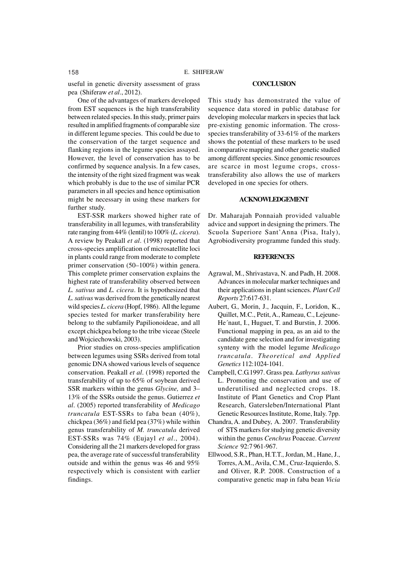useful in genetic diversity assessment of grass pea (Shiferaw *et al*., 2012).

One of the advantages of markers developed from EST sequences is the high transferability between related species. In this study, primer pairs resulted in amplified fragments of comparable size in different legume species. This could be due to the conservation of the target sequence and flanking regions in the legume species assayed. However, the level of conservation has to be confirmed by sequence analysis. In a few cases, the intensity of the right sized fragment was weak which probably is due to the use of similar PCR parameters in all species and hence optimisation might be necessary in using these markers for further study.

EST-SSR markers showed higher rate of transferability in all legumes, with transferability rate ranging from 44% (lentil) to 100% (*L. cicera*). A review by Peakall *et al*. (1998) reported that cross-species amplification of microsatellite loci in plants could range from moderate to complete primer conservation (50–100%) within genera. This complete primer conservation explains the highest rate of transferability observed between *L. sativus* and *L. cicera*. It is hypothesized that *L. sativus* was derived from the genetically nearest wild species *L. cicera* (Hopf, 1986). All the legume species tested for marker transferability here belong to the subfamily Papilionoideae, and all except chickpea belong to the tribe viceae (Steele and Wojciechowski, 2003).

Prior studies on cross-species amplification between legumes using SSRs derived from total genomic DNA showed various levels of sequence conservation. Peakall *et al*. (1998) reported the transferability of up to 65% of soybean derived SSR markers within the genus *Glycine,* and 3– 13% of the SSRs outside the genus. Gutierrez *et al*. (2005) reported transferability of *Medicago truncatula* EST-SSRs to faba bean (40%), chickpea (36%) and field pea (37%) while within genus transferability of *M. truncatula* derived EST-SSRs was 74% (Eujayl *et al*., 2004). Considering all the 21 markers developed for grass pea, the average rate of successful transferability outside and within the genus was 46 and 95% respectively which is consistent with earlier findings.

#### **CONCLUSION**

This study has demonstrated the value of sequence data stored in public database for developing molecular markers in species that lack pre-existing genomic information. The crossspecies transferability of 33-61% of the markers shows the potential of these markers to be used in comparative mapping and other genetic studied among different species. Since genomic resources are scarce in most legume crops, crosstransferability also allows the use of markers developed in one species for others.

## **ACKNOWLEDGEMENT**

Dr. Maharajah Ponnaiah provided valuable advice and support in designing the primers. The Scuola Superiore Sant'Anna (Pisa, Italy), Agrobiodiversity programme funded this study.

#### **REFERENCES**

- Agrawal, M., Shrivastava, N. and Padh, H. 2008. Advances in molecular marker techniques and their applications in plant sciences. *Plant Cell Reports* 27:617-631.
- Aubert, G., Morin, J., Jacquin, F., Loridon, K., Quillet, M.C., Petit, A., Rameau, C., Lejeune-He´naut, I., Huguet, T. and Burstin, J. 2006. Functional mapping in pea, as an aid to the candidate gene selection and for investigating synteny with the model legume *Medicago truncatula*. *Theoretical and Applied Genetics* 112:1024-1041.
- Campbell, C.G.1997. Grass pea. *Lathyrus sativus* L. Promoting the conservation and use of underutilised and neglected crops. 18. Institute of Plant Genetics and Crop Plant Research, Gatersleben/International Plant Genetic Resources Institute, Rome, Italy. 7pp.
- Chandra, A. and Dubey, A. 2007. Transferability of STS markers for studying genetic diversity within the genus *Cenchrus* Poaceae. *Current Science* 92:7 961-967.
- Ellwood, S.R., Phan, H.T.T., Jordan, M., Hane, J., Torres,A.M., Avila, C.M., Cruz-Izquierdo, S. and Oliver, R.P. 2008. Construction of a comparative genetic map in faba bean *Vicia*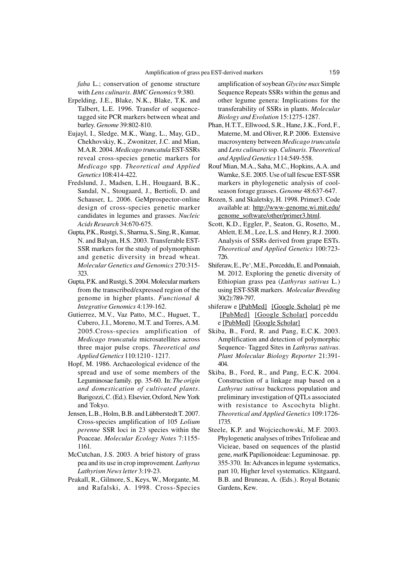*faba* L.; conservation of genome structure with *Lens culinaris*. *BMC Genomics* 9:380.

- Erpelding, J.E., Blake, N.K., Blake, T.K. and Talbert, L.E. 1996. Transfer of sequencetagged site PCR markers between wheat and barley. *Genome* 39:802-810.
- Eujayl, I., Sledge, M.K., Wang, L., May, G.D., Chekhovskiy, K., Zwonitzer, J.C. and Mian, M.A.R. 2004. *Medicago truncatula* EST-SSRs reveal cross-species genetic markers for *Medicago* spp. *Theoretical and Applied Genetics* 108:414-422.
- Fredslund, J., Madsen, L.H., Hougaard, B.K., Sandal, N., Stougaard, J., Bertioli, D. and Schauser, L. 2006. GeMprospector-online design of cross-species genetic marker candidates in legumes and grasses. *Nucleic Acids Research* 34:670-675.
- Gupta, P.K., Rustgi, S., Sharma, S., Sing, R., Kumar, N. and Balyan, H.S. 2003. Transferable EST-SSR markers for the study of polymorphism and genetic diversity in bread wheat. *Molecular Genetics and Genomics* 270:315- 323.
- Gupta, P.K. and Rustgi, S. 2004. Molecular markers from the transcribed/expressed region of the genome in higher plants. *Functional & Integrative Genomics* 4:139-162.
- Gutierrez, M.V., Vaz Patto, M.C., Huguet, T., Cubero, J.I., Moreno, M.T. and Torres, A.M. 2005.Cross-species amplification of *Medicago truncatula* microsatellites across three major pulse crops. *Theoretical and Applied Genetics* 110:1210 - 1217.
- Hopf, M. 1986. Archaeological evidence of the spread and use of some members of the Leguminosae family. pp. 35-60. In: *The origin and domestication of cultivated plants*. Barigozzi, C. (Ed.). Elsevier, Oxford, New York and Tokyo.
- Jensen, L.B., Holm, B.B. and Lübberstedt T. 2007. Cross-species amplification of 105 *Lolium perenne* SSR loci in 23 species within the Poaceae. *Molecular Ecology Notes* 7:1155- 1161.
- McCutchan, J.S. 2003. A brief history of grass pea and its use in crop improvement. *Lathyrus Lathyrism News letter* 3:19-23.
- Peakall, R., Gilmore, S., Keys, W., Morgante, M. and Rafalski, A. 1998. Cross-Species

amplification of soybean *Glycine max* Simple Sequence Repeats SSRs within the genus and other legume genera: Implications for the transferability of SSRs in plants. *Molecular Biology and Evolution* 15:1275-1287.

- Phan, H.T.T., Ellwood, S.R., Hane, J.K., Ford, F., Materne, M. and Oliver, R.P. 2006. Extensive macrosynteny between *Medicago truncatula* and *Lens culinaris* ssp. *Culinaris. Theoretical and Applied Genetics* 114:549-558.
- Rouf Mian, M.A., Saha, M.C., Hopkins, A.A. and Warnke, S.E. 2005. Use of tall fescue EST-SSR markers in phylogenetic analysis of coolseason forage grasses. *Genome* 48:637-647.
- Rozen, S. and Skaletsky, H. 1998. Primer3. Code available at: http://www-genome.wi.mit.edu/ genome\_software/other/primer3.html.
- Scott, K.D., Eggler, P., Seaton, G., Rosetto, M., Ablett, E.M., Lee, L.S. and Henry, R.J. 2000. Analysis of SSRs derived from grape ESTs. *Theoretical and Applied Genetics* 100:723- 726.
- Shiferaw, E., Pe', M.E., Porceddu, E. and Ponnaiah, M. 2012. Exploring the genetic diversity of Ethiopian grass pea (*Lathyrus sativus* L.) using EST-SSR markers. *Molecular Breeding* 30(2):789-797.
- shiferaw e [PubMed] [Google Scholar] pè me [PubMed] [Google Scholar] porceddu e [PubMed] [Google Scholar]
- Skiba, B., Ford, R. and Pang, E.C.K. 2003. Amplification and detection of polymorphic Sequence- Tagged Sites in *Lathyrus sativus*. *Plant Molecular Biology Reporter* 21:391- 404.
- Skiba, B., Ford, R., and Pang, E.C.K. 2004. Construction of a linkage map based on a *Lathyrus sativus* backcross population and preliminary investigation of QTLs associated with resistance to Ascochyta blight. *Theoretical and Applied Genetics* 109:1726- 1735.
- Steele, K.P. and Wojciechowski, M.F. 2003. Phylogenetic analyses of tribes Trifolieae and Vicieae, based on sequences of the plastid gene, *mat*K Papilionoideae: Leguminosae. pp. 355-370. In: Advances in legume systematics, part 10, Higher level systematics. Klitgaard, B.B. and Bruneau, A. (Eds.). Royal Botanic Gardens, Kew.